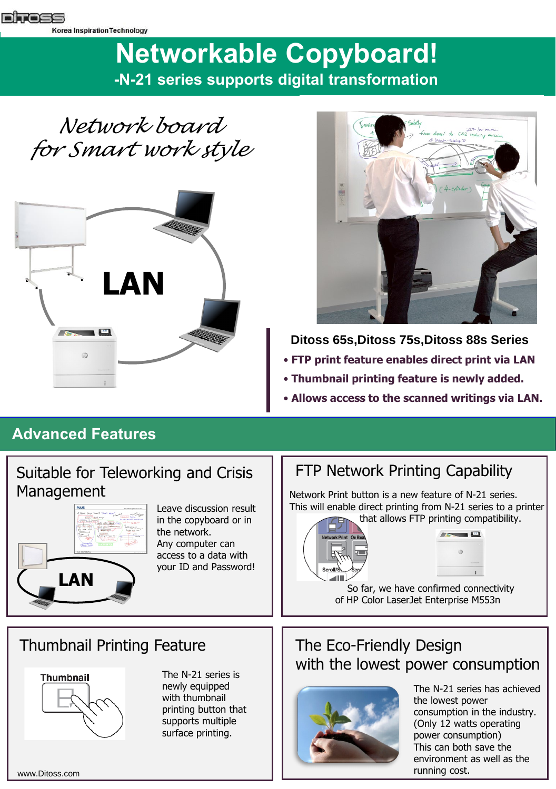# **Networkable Copyboard! -N-21 series supports digital transformation**

*Network board for Smart work style*





## **Ditoss 65s, Ditoss 75s, Ditoss 88s Series**

- **FTP print feature enables direct print via LAN**
- **Thumbnail printing feature is newly added.**
- **Allows access to the scanned writings via LAN.**

## **Advanced Features**

#### Suitable for Teleworking and Crisis  $\|\cdot\|$  FTP Network Printing Capability Management



Leave discussion result in the copyboard or in the network. Any computer can access to a data with your ID and Password!

Network Print button is a new feature of N-21 series. This will enable direct printing from N-21 series to a printer that allows FTP printing compatibility.





So far, we have confirmed connectivity of HP Color LaserJet Enterprise M553n

### Thumbnail Printing Feature



The N-21 series is newly equipped with thumbnail printing button that supports multiple surface printing.

## The Eco-Friendly Design with the lowest power consumption



The N-21 series has achieved the lowest power consumption in the industry. (Only 12 watts operating power consumption) This can both save the environment as well as the running cost.